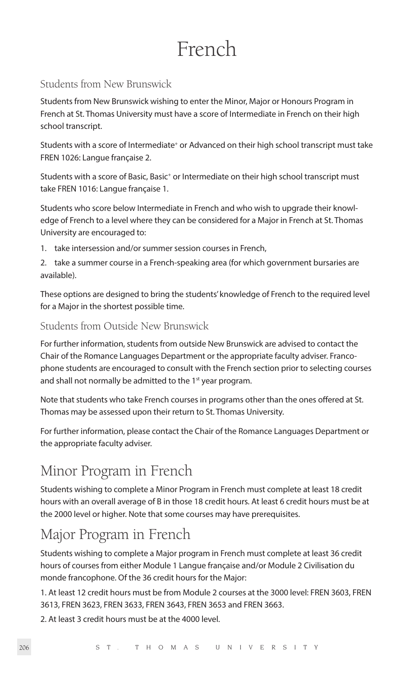# French

# Students from New Brunswick

Students from New Brunswick wishing to enter the Minor, Major or Honours Program in French at St. Thomas University must have a score of Intermediate in French on their high school transcript.

Students with a score of Intermediate<sup>+</sup> or Advanced on their high school transcript must take FREN 1026: Langue française 2.

Students with a score of Basic, Basic<sup>+</sup> or Intermediate on their high school transcript must take FREN 1016: Langue française 1.

Students who score below Intermediate in French and who wish to upgrade their knowledge of French to a level where they can be considered for a Major in French at St. Thomas University are encouraged to:

- 1. take intersession and/or summer session courses in French,
- 2. take a summer course in a French-speaking area (for which government bursaries are available).

These options are designed to bring the students' knowledge of French to the required level for a Major in the shortest possible time.

# Students from Outside New Brunswick

For further information, students from outside New Brunswick are advised to contact the Chair of the Romance Languages Department or the appropriate faculty adviser. Francophone students are encouraged to consult with the French section prior to selecting courses and shall not normally be admitted to the 1<sup>st</sup> year program.

Note that students who take French courses in programs other than the ones offered at St. Thomas may be assessed upon their return to St. Thomas University.

For further information, please contact the Chair of the Romance Languages Department or the appropriate faculty adviser.

# Minor Program in French

Students wishing to complete a Minor Program in French must complete at least 18 credit hours with an overall average of B in those 18 credit hours. At least 6 credit hours must be at the 2000 level or higher. Note that some courses may have prerequisites.

# Major Program in French

Students wishing to complete a Major program in French must complete at least 36 credit hours of courses from either Module 1 Langue française and/or Module 2 Civilisation du monde francophone. Of the 36 credit hours for the Major:

1. At least 12 credit hours must be from Module 2 courses at the 3000 level: FREN 3603, FREN 3613, FREN 3623, FREN 3633, FREN 3643, FREN 3653 and FREN 3663.

2. At least 3 credit hours must be at the 4000 level.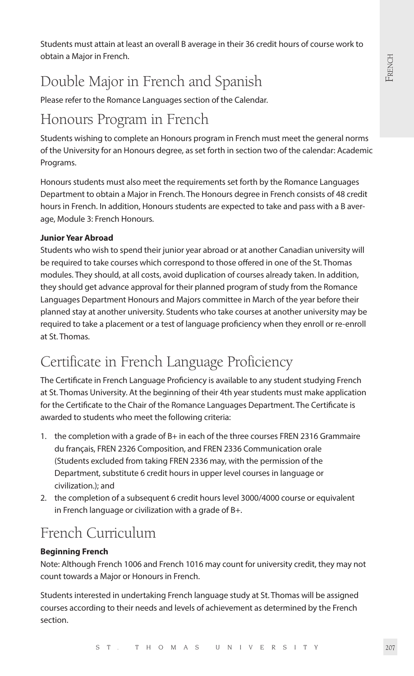Students must attain at least an overall B average in their 36 credit hours of course work to obtain a Major in French.

# Double Major in French and Spanish

Please refer to the Romance Languages section of the Calendar.

# Honours Program in French

Students wishing to complete an Honours program in French must meet the general norms of the University for an Honours degree, as set forth in section two of the calendar: Academic Programs.

Honours students must also meet the requirements set forth by the Romance Languages Department to obtain a Major in French. The Honours degree in French consists of 48 credit hours in French. In addition, Honours students are expected to take and pass with a B average, Module 3: French Honours.

# **Junior Year Abroad**

Students who wish to spend their junior year abroad or at another Canadian university will be required to take courses which correspond to those offered in one of the St. Thomas modules. They should, at all costs, avoid duplication of courses already taken. In addition, they should get advance approval for their planned program of study from the Romance Languages Department Honours and Majors committee in March of the year before their planned stay at another university. Students who take courses at another university may be required to take a placement or a test of language proficiency when they enroll or re-enroll at St. Thomas.

# Certificate in French Language Proficiency

The Certificate in French Language Proficiency is available to any student studying French at St. Thomas University. At the beginning of their 4th year students must make application for the Certificate to the Chair of the Romance Languages Department. The Certificate is awarded to students who meet the following criteria:

- 1. the completion with a grade of B+ in each of the three courses FREN 2316 Grammaire du français, FREN 2326 Composition, and FREN 2336 Communication orale (Students excluded from taking FREN 2336 may, with the permission of the Department, substitute 6 credit hours in upper level courses in language or civilization.); and
- 2. the completion of a subsequent 6 credit hours level 3000/4000 course or equivalent in French language or civilization with a grade of B+.

# French Curriculum

# **Beginning French**

Note: Although French 1006 and French 1016 may count for university credit, they may not count towards a Major or Honours in French.

Students interested in undertaking French language study at St. Thomas will be assigned courses according to their needs and levels of achievement as determined by the French section.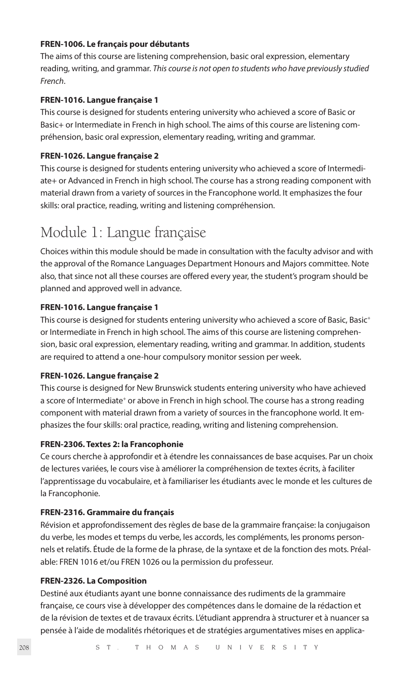#### **FREN-1006. Le français pour débutants**

The aims of this course are listening comprehension, basic oral expression, elementary reading, writing, and grammar. *This course is not open to students who have previously studied French*.

# **FREN-1016. Langue française 1**

This course is designed for students entering university who achieved a score of Basic or Basic+ or Intermediate in French in high school. The aims of this course are listening compréhension, basic oral expression, elementary reading, writing and grammar.

#### **FREN-1026. Langue française 2**

This course is designed for students entering university who achieved a score of Intermediate+ or Advanced in French in high school. The course has a strong reading component with material drawn from a variety of sources in the Francophone world. It emphasizes the four skills: oral practice, reading, writing and listening compréhension.

# Module 1: Langue française

Choices within this module should be made in consultation with the faculty advisor and with the approval of the Romance Languages Department Honours and Majors committee. Note also, that since not all these courses are offered every year, the student's program should be planned and approved well in advance.

#### **FREN-1016. Langue française 1**

This course is designed for students entering university who achieved a score of Basic, Basic<sup>+</sup> or Intermediate in French in high school. The aims of this course are listening comprehension, basic oral expression, elementary reading, writing and grammar. In addition, students are required to attend a one-hour compulsory monitor session per week.

## **FREN-1026. Langue française 2**

This course is designed for New Brunswick students entering university who have achieved a score of Intermediate<sup>+</sup> or above in French in high school. The course has a strong reading component with material drawn from a variety of sources in the francophone world. It emphasizes the four skills: oral practice, reading, writing and listening comprehension.

# **FREN-2306. Textes 2: la Francophonie**

Ce cours cherche à approfondir et à étendre les connaissances de base acquises. Par un choix de lectures variées, le cours vise à améliorer la compréhension de textes écrits, à faciliter l'apprentissage du vocabulaire, et à familiariser les étudiants avec le monde et les cultures de la Francophonie.

#### **FREN-2316. Grammaire du français**

Révision et approfondissement des règles de base de la grammaire française: la conjugaison du verbe, les modes et temps du verbe, les accords, les compléments, les pronoms personnels et relatifs. Étude de la forme de la phrase, de la syntaxe et de la fonction des mots. Préalable: FREN 1016 et/ou FREN 1026 ou la permission du professeur.

#### **FREN-2326. La Composition**

Destiné aux étudiants ayant une bonne connaissance des rudiments de la grammaire française, ce cours vise à développer des compétences dans le domaine de la rédaction et de la révision de textes et de travaux écrits. L'étudiant apprendra à structurer et à nuancer sa pensée à l'aide de modalités rhétoriques et de stratégies argumentatives mises en applica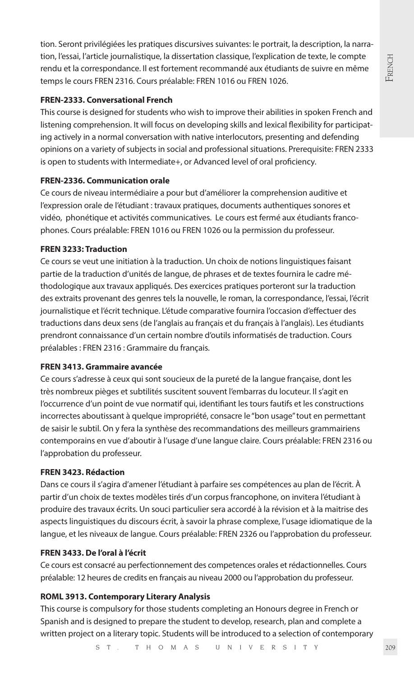tion. Seront privilégiées les pratiques discursives suivantes: le portrait, la description, la narration, l'essai, l'article journalistique, la dissertation classique, l'explication de texte, le compte rendu et la correspondance. Il est fortement recommandé aux étudiants de suivre en même temps le cours FREN 2316. Cours préalable: FREN 1016 ou FREN 1026.

# **FREN-2333. Conversational French**

This course is designed for students who wish to improve their abilities in spoken French and listening comprehension. It will focus on developing skills and lexical flexibility for participating actively in a normal conversation with native interlocutors, presenting and defending opinions on a variety of subjects in social and professional situations. Prerequisite: FREN 2333 is open to students with Intermediate+, or Advanced level of oral proficiency.

# **FREN-2336. Communication orale**

Ce cours de niveau intermédiaire a pour but d'améliorer la comprehension auditive et l'expression orale de l'étudiant : travaux pratiques, documents authentiques sonores et vidéo, phonétique et activités communicatives. Le cours est fermé aux étudiants francophones. Cours préalable: FREN 1016 ou FREN 1026 ou la permission du professeur.

# **FREN 3233: Traduction**

Ce cours se veut une initiation à la traduction. Un choix de notions linguistiques faisant partie de la traduction d'unités de langue, de phrases et de textes fournira le cadre méthodologique aux travaux appliqués. Des exercices pratiques porteront sur la traduction des extraits provenant des genres tels la nouvelle, le roman, la correspondance, l'essai, l'écrit journalistique et l'écrit technique. L'étude comparative fournira l'occasion d'effectuer des traductions dans deux sens (de l'anglais au français et du français à l'anglais). Les étudiants prendront connaissance d'un certain nombre d'outils informatisés de traduction. Cours préalables : FREN 2316 : Grammaire du français.

### **FREN 3413. Grammaire avancée**

Ce cours s'adresse à ceux qui sont soucieux de la pureté de la langue française, dont les très nombreux pièges et subtilités suscitent souvent l'embarras du locuteur. Il s'agit en l'occurrence d'un point de vue normatif qui, identifiant les tours fautifs et les constructions incorrectes aboutissant à quelque impropriété, consacre le "bon usage" tout en permettant de saisir le subtil. On y fera la synthèse des recommandations des meilleurs grammairiens contemporains en vue d'aboutir à l'usage d'une langue claire. Cours préalable: FREN 2316 ou l'approbation du professeur.

## **FREN 3423. Rédaction**

Dans ce cours il s'agira d'amener l'étudiant à parfaire ses compétences au plan de l'écrit. À partir d'un choix de textes modèles tirés d'un corpus francophone, on invitera l'étudiant à produire des travaux écrits. Un souci particulier sera accordé à la révision et à la maitrise des aspects linguistiques du discours écrit, à savoir la phrase complexe, l'usage idiomatique de la langue, et les niveaux de langue. Cours préalable: FREN 2326 ou l'approbation du professeur.

### **FREN 3433. De l'oral à l'écrit**

Ce cours est consacré au perfectionnement des competences orales et rédactionnelles. Cours préalable: 12 heures de credits en français au niveau 2000 ou l'approbation du professeur.

# **ROML 3913. Contemporary Literary Analysis**

This course is compulsory for those students completing an Honours degree in French or Spanish and is designed to prepare the student to develop, research, plan and complete a written project on a literary topic. Students will be introduced to a selection of contemporary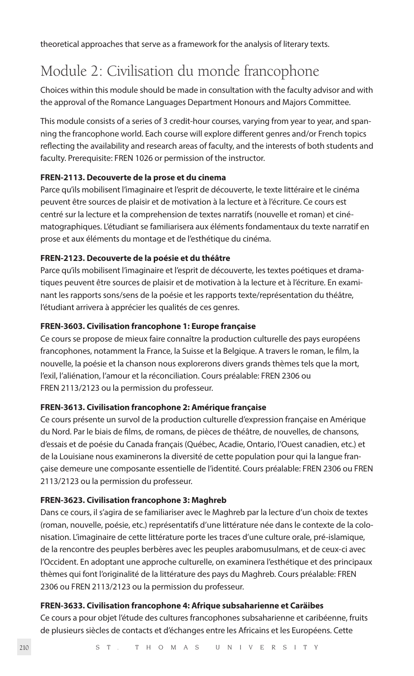theoretical approaches that serve as a framework for the analysis of literary texts.

# Module 2: Civilisation du monde francophone

Choices within this module should be made in consultation with the faculty advisor and with the approval of the Romance Languages Department Honours and Majors Committee.

This module consists of a series of 3 credit-hour courses, varying from year to year, and spanning the francophone world. Each course will explore different genres and/or French topics reflecting the availability and research areas of faculty, and the interests of both students and faculty. Prerequisite: FREN 1026 or permission of the instructor.

# **FREN-2113. Decouverte de la prose et du cinema**

Parce qu'ils mobilisent l'imaginaire et l'esprit de découverte, le texte littéraire et le cinéma peuvent être sources de plaisir et de motivation à la lecture et à l'écriture. Ce cours est centré sur la lecture et la comprehension de textes narratifs (nouvelle et roman) et cinématographiques. L'étudiant se familiarisera aux éléments fondamentaux du texte narratif en prose et aux éléments du montage et de l'esthétique du cinéma.

# **FREN-2123. Decouverte de la poésie et du théâtre**

Parce qu'ils mobilisent l'imaginaire et l'esprit de découverte, les textes poétiques et dramatiques peuvent être sources de plaisir et de motivation à la lecture et à l'écriture. En examinant les rapports sons/sens de la poésie et les rapports texte/représentation du théâtre, l'étudiant arrivera à apprécier les qualités de ces genres.

# **FREN-3603. Civilisation francophone 1: Europe française**

Ce cours se propose de mieux faire connaître la production culturelle des pays européens francophones, notamment la France, la Suisse et la Belgique. A travers le roman, le film, la nouvelle, la poésie et la chanson nous explorerons divers grands thèmes tels que la mort, l'exil, l'aliénation, l'amour et la réconciliation. Cours préalable: FREN 2306 ou FREN 2113/2123 ou la permission du professeur.

# **FREN-3613. Civilisation francophone 2: Amérique française**

Ce cours présente un survol de la production culturelle d'expression française en Amérique du Nord. Par le biais de films, de romans, de pièces de théâtre, de nouvelles, de chansons, d'essais et de poésie du Canada français (Québec, Acadie, Ontario, l'Ouest canadien, etc.) et de la Louisiane nous examinerons la diversité de cette population pour qui la langue française demeure une composante essentielle de l'identité. Cours préalable: FREN 2306 ou FREN 2113/2123 ou la permission du professeur.

# **FREN-3623. Civilisation francophone 3: Maghreb**

Dans ce cours, il s'agira de se familiariser avec le Maghreb par la lecture d'un choix de textes (roman, nouvelle, poésie, etc.) représentatifs d'une littérature née dans le contexte de la colonisation. L'imaginaire de cette littérature porte les traces d'une culture orale, pré-islamique, de la rencontre des peuples berbères avec les peuples arabomusulmans, et de ceux-ci avec l'Occident. En adoptant une approche culturelle, on examinera l'esthétique et des principaux thèmes qui font l'originalité de la littérature des pays du Maghreb. Cours préalable: FREN 2306 ou FREN 2113/2123 ou la permission du professeur.

# **FREN-3633. Civilisation francophone 4: Afrique subsaharienne et Caräibes**

Ce cours a pour objet l'étude des cultures francophones subsaharienne et caribéenne, fruits de plusieurs siècles de contacts et d'échanges entre les Africains et les Européens. Cette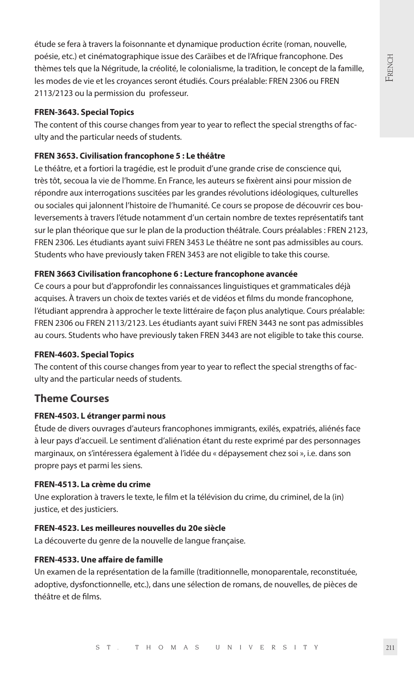étude se fera à travers la foisonnante et dynamique production écrite (roman, nouvelle, poésie, etc.) et cinématographique issue des Caräibes et de l'Afrique francophone. Des thèmes tels que la Négritude, la créolité, le colonialisme, la tradition, le concept de la famille, les modes de vie et les croyances seront étudiés. Cours préalable: FREN 2306 ou FREN 2113/2123 ou la permission du professeur.

#### **FREN-3643. Special Topics**

The content of this course changes from year to year to reflect the special strengths of faculty and the particular needs of students.

#### **FREN 3653. Civilisation francophone 5 : Le théâtre**

Le théâtre, et a fortiori la tragédie, est le produit d'une grande crise de conscience qui, très tôt, secoua la vie de l'homme. En France, les auteurs se fixèrent ainsi pour mission de répondre aux interrogations suscitées par les grandes révolutions idéologiques, culturelles ou sociales qui jalonnent l'histoire de l'humanité. Ce cours se propose de découvrir ces bouleversements à travers l'étude notamment d'un certain nombre de textes représentatifs tant sur le plan théorique que sur le plan de la production théâtrale. Cours préalables : FREN 2123, FREN 2306. Les étudiants ayant suivi FREN 3453 Le théâtre ne sont pas admissibles au cours. Students who have previously taken FREN 3453 are not eligible to take this course.

#### **FREN 3663 Civilisation francophone 6 : Lecture francophone avancée**

Ce cours a pour but d'approfondir les connaissances linguistiques et grammaticales déjà acquises. À travers un choix de textes variés et de vidéos et films du monde francophone, l'étudiant apprendra à approcher le texte littéraire de façon plus analytique. Cours préalable: FREN 2306 ou FREN 2113/2123. Les étudiants ayant suivi FREN 3443 ne sont pas admissibles au cours. Students who have previously taken FREN 3443 are not eligible to take this course.

#### **FREN-4603. Special Topics**

The content of this course changes from year to year to reflect the special strengths of faculty and the particular needs of students.

### **Theme Courses**

#### **FREN-4503. L étranger parmi nous**

Étude de divers ouvrages d'auteurs francophones immigrants, exilés, expatriés, aliénés face à leur pays d'accueil. Le sentiment d'aliénation étant du reste exprimé par des personnages marginaux, on s'intéressera également à l'idée du « dépaysement chez soi », i.e. dans son propre pays et parmi les siens.

#### **FREN-4513. La crème du crime**

Une exploration à travers le texte, le film et la télévision du crime, du criminel, de la (in) justice, et des justiciers.

# **FREN-4523. Les meilleures nouvelles du 20e siècle**

La découverte du genre de la nouvelle de langue française.

# **FREN-4533. Une affaire de famille**

Un examen de la représentation de la famille (traditionnelle, monoparentale, reconstituée, adoptive, dysfonctionnelle, etc.), dans une sélection de romans, de nouvelles, de pièces de théâtre et de films.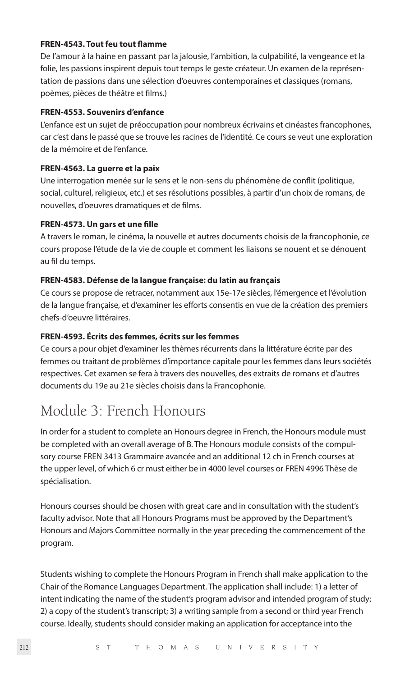# **FREN-4543. Tout feu tout flamme**

De l'amour à la haine en passant par la jalousie, l'ambition, la culpabilité, la vengeance et la folie, les passions inspirent depuis tout temps le geste créateur. Un examen de la représentation de passions dans une sélection d'oeuvres contemporaines et classiques (romans, poèmes, pièces de théâtre et films.)

#### **FREN-4553. Souvenirs d'enfance**

L'enfance est un sujet de préoccupation pour nombreux écrivains et cinéastes francophones, car c'est dans le passé que se trouve les racines de l'identité. Ce cours se veut une exploration de la mémoire et de l'enfance.

#### **FREN-4563. La guerre et la paix**

Une interrogation menée sur le sens et le non-sens du phénomène de conflit (politique, social, culturel, religieux, etc.) et ses résolutions possibles, à partir d'un choix de romans, de nouvelles, d'oeuvres dramatiques et de films.

## **FREN-4573. Un gars et une fille**

A travers le roman, le cinéma, la nouvelle et autres documents choisis de la francophonie, ce cours propose l'étude de la vie de couple et comment les liaisons se nouent et se dénouent au fil du temps.

# **FREN-4583. Défense de la langue française: du latin au français**

Ce cours se propose de retracer, notamment aux 15e-17e siècles, l'émergence et l'évolution de la langue française, et d'examiner les efforts consentis en vue de la création des premiers chefs-d'oeuvre littéraires.

# **FREN-4593. Écrits des femmes, écrits sur les femmes**

Ce cours a pour objet d'examiner les thèmes récurrents dans la littérature écrite par des femmes ou traitant de problèmes d'importance capitale pour les femmes dans leurs sociétés respectives. Cet examen se fera à travers des nouvelles, des extraits de romans et d'autres documents du 19e au 21e siècles choisis dans la Francophonie.

# Module 3: French Honours

In order for a student to complete an Honours degree in French, the Honours module must be completed with an overall average of B. The Honours module consists of the compulsory course FREN 3413 Grammaire avancée and an additional 12 ch in French courses at the upper level, of which 6 cr must either be in 4000 level courses or FREN 4996 Thèse de spécialisation.

Honours courses should be chosen with great care and in consultation with the student's faculty advisor. Note that all Honours Programs must be approved by the Department's Honours and Majors Committee normally in the year preceding the commencement of the program.

Students wishing to complete the Honours Program in French shall make application to the Chair of the Romance Languages Department. The application shall include: 1) a letter of intent indicating the name of the student's program advisor and intended program of study; 2) a copy of the student's transcript; 3) a writing sample from a second or third year French course. Ideally, students should consider making an application for acceptance into the